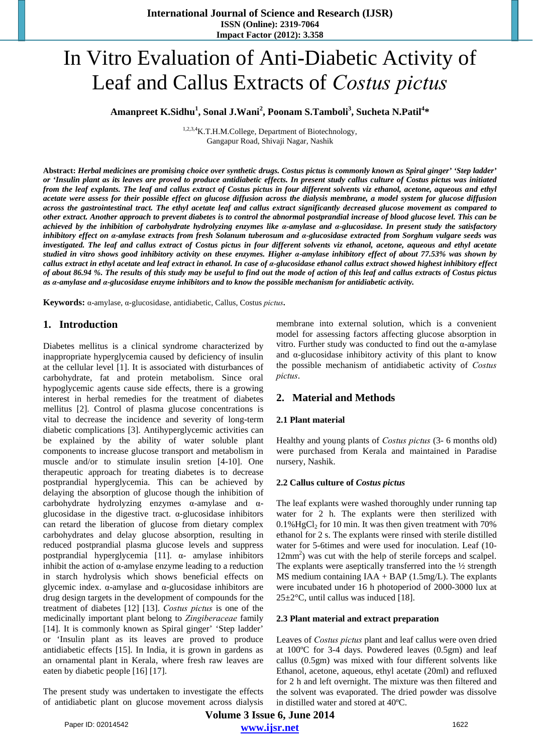# In Vitro Evaluation of Anti-Diabetic Activity of Leaf and Callus Extracts of *Costus pictus*

# Amanpreet K.Sidhu<sup>1</sup>, Sonal J.Wani<sup>2</sup>, Poonam S.Tamboli<sup>3</sup>, Sucheta N.Patil<sup>4</sup>\*

1,2,3,4K.T.H.M.College, Department of Biotechnology, Gangapur Road, Shivaji Nagar, Nashik

**Abstract:** *Herbal medicines are promising choice over synthetic drugs. Costus pictus is commonly known as Spiral ginger' 'Step ladder' or 'Insulin plant as its leaves are proved to produce antidiabetic effects. In present study callus culture of Costus pictus was initiated from the leaf explants. The leaf and callus extract of Costus pictus in four different solvents viz ethanol, acetone, aqueous and ethyl acetate were assess for their possible effect on glucose diffusion across the dialysis membrane, a model system for glucose diffusion across the gastrointestinal tract. The ethyl acetate leaf and callus extract significantly decreased glucose movement as compared to other extract. Another approach to prevent diabetes is to control the abnormal postprandial increase of blood glucose level. This can be achieved by the inhibition of carbohydrate hydrolyzing enzymes like α-amylase and α-glucosidase. In present study the satisfactory inhibitory effect on α-amylase extracts from fresh Solanum tuberosum and α-glucosidase extracted from Sorghum vulgare seeds was investigated. The leaf and callus extract of Costus pictus in four different solvents viz ethanol, acetone, aqueous and ethyl acetate studied in vitro shows good inhibitory activity on these enzymes. Higher α-amylase inhibitory effect of about 77.53% was shown by callus extract in ethyl acetate and leaf extract in ethanol. In case of α-glucosidase ethanol callus extract showed highest inhibitory effect of about 86.94 %. The results of this study may be useful to find out the mode of action of this leaf and callus extracts of Costus pictus as α-amylase and α-glucosidase enzyme inhibitors and to know the possible mechanism for antidiabetic activity.* 

**Keywords:** α-amylase, α-glucosidase, antidiabetic, Callus, Costus *pictus***.** 

## **1. Introduction**

Diabetes mellitus is a clinical syndrome characterized by inappropriate hyperglycemia caused by deficiency of insulin at the cellular level [1]. It is associated with disturbances of carbohydrate, fat and protein metabolism. Since oral hypoglycemic agents cause side effects, there is a growing interest in herbal remedies for the treatment of diabetes mellitus [2]. Control of plasma glucose concentrations is vital to decrease the incidence and severity of long-term diabetic complications [3]. Antihyperglycemic activities can be explained by the ability of water soluble plant components to increase glucose transport and metabolism in muscle and/or to stimulate insulin sretion [4-10]. One therapeutic approach for treating diabetes is to decrease postprandial hyperglycemia. This can be achieved by delaying the absorption of glucose though the inhibition of carbohydrate hydrolyzing enzymes α-amylase and αglucosidase in the digestive tract. α-glucosidase inhibitors can retard the liberation of glucose from dietary complex carbohydrates and delay glucose absorption, resulting in reduced postprandial plasma glucose levels and suppress postprandial hyperglycemia [11]. α- amylase inhibitors inhibit the action of  $\alpha$ -amylase enzyme leading to a reduction in starch hydrolysis which shows beneficial effects on glycemic index. α-amylase and α-glucosidase inhibitors are drug design targets in the development of compounds for the treatment of diabetes [12] [13]. *Costus pictus* is one of the medicinally important plant belong to *Zingiberaceae* family [14]. It is commonly known as Spiral ginger' 'Step ladder' or 'Insulin plant as its leaves are proved to produce antidiabetic effects [15]. In India, it is grown in gardens as an ornamental plant in Kerala, where fresh raw leaves are eaten by diabetic people [16] [17].

The present study was undertaken to investigate the effects of antidiabetic plant on glucose movement across dialysis membrane into external solution, which is a convenient model for assessing factors affecting glucose absorption in vitro. Further study was conducted to find out the α-amylase and  $\alpha$ -glucosidase inhibitory activity of this plant to know the possible mechanism of antidiabetic activity of *Costus pictus*.

# **2. Material and Methods**

## **2.1 Plant material**

Healthy and young plants of *Costus pictus* (3- 6 months old) were purchased from Kerala and maintained in Paradise nursery, Nashik.

#### **2.2 Callus culture of** *Costus pictus*

The leaf explants were washed thoroughly under running tap water for 2 h. The explants were then sterilized with  $0.1\%$  HgCl<sub>2</sub> for 10 min. It was then given treatment with 70% ethanol for 2 s. The explants were rinsed with sterile distilled water for 5-6times and were used for inoculation. Leaf (10- 12mm<sup>2</sup>) was cut with the help of sterile forceps and scalpel. The explants were aseptically transferred into the  $\frac{1}{2}$  strength MS medium containing  $IAA + BAP$  (1.5mg/L). The explants were incubated under 16 h photoperiod of 2000-3000 lux at  $25 \pm 2$ °C, until callus was induced [18].

#### **2.3 Plant material and extract preparation**

Leaves of *Costus pictus* plant and leaf callus were oven dried at 100ºC for 3-4 days. Powdered leaves (0.5gm) and leaf callus (0.5gm) was mixed with four different solvents like Ethanol, acetone, aqueous, ethyl acetate (20ml) and refluxed for 2 h and left overnight. The mixture was then filtered and the solvent was evaporated. The dried powder was dissolve in distilled water and stored at 40ºC.

**Volume 3 Issue 6, June 2014 www.ijsr.net** Paper ID: 02014542 1622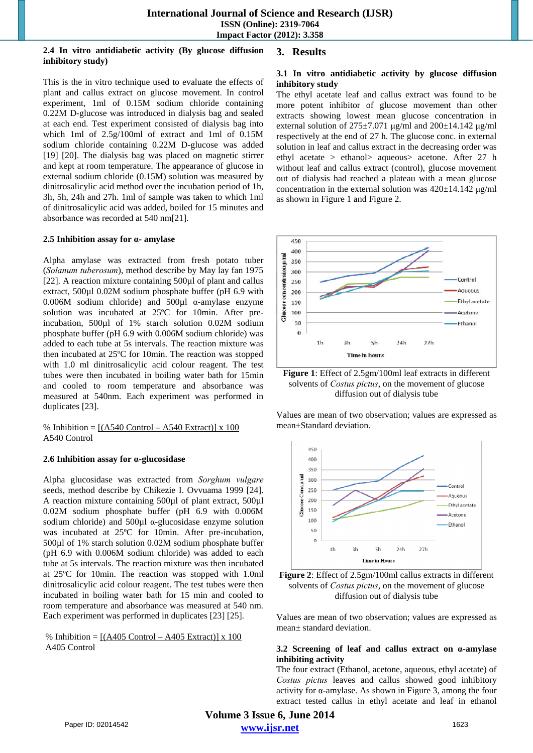#### **2.4 In vitro antidiabetic activity (By glucose diffusion inhibitory study)**

# **3. Results**

This is the in vitro technique used to evaluate the effects of plant and callus extract on glucose movement. In control experiment, 1ml of 0.15M sodium chloride containing 0.22M D-glucose was introduced in dialysis bag and sealed at each end. Test experiment consisted of dialysis bag into which 1ml of 2.5g/100ml of extract and 1ml of 0.15M sodium chloride containing 0.22M D-glucose was added [19] [20]. The dialysis bag was placed on magnetic stirrer and kept at room temperature. The appearance of glucose in external sodium chloride (0.15M) solution was measured by dinitrosalicylic acid method over the incubation period of 1h, 3h, 5h, 24h and 27h. 1ml of sample was taken to which 1ml of dinitrosalicylic acid was added, boiled for 15 minutes and absorbance was recorded at 540 nm[21].

#### **2.5 Inhibition assay for α- amylase**

Alpha amylase was extracted from fresh potato tuber (*Solanum tuberosum*), method describe by May lay fan 1975 [22]. A reaction mixture containing 500ul of plant and callus extract, 500µl 0.02M sodium phosphate buffer (pH 6.9 with 0.006M sodium chloride) and 500µl α-amylase enzyme solution was incubated at 25ºC for 10min. After preincubation, 500µl of 1% starch solution 0.02M sodium phosphate buffer (pH 6.9 with 0.006M sodium chloride) was added to each tube at 5s intervals. The reaction mixture was then incubated at 25ºC for 10min. The reaction was stopped with 1.0 ml dinitrosalicylic acid colour reagent. The test tubes were then incubated in boiling water bath for 15min and cooled to room temperature and absorbance was measured at 540nm. Each experiment was performed in duplicates [23].

% Inhibition =  $[(A540 \text{ Control} - A540 \text{ Extract})] \times 100$ A540 Control

#### **2.6 Inhibition assay for α-glucosidase**

Alpha glucosidase was extracted from *Sorghum vulgare* seeds, method describe by Chikezie I. Ovvuama 1999 [24]. A reaction mixture containing 500µl of plant extract, 500µl 0.02M sodium phosphate buffer (pH 6.9 with 0.006M sodium chloride) and  $500\mu$ l  $\alpha$ -glucosidase enzyme solution was incubated at 25ºC for 10min. After pre-incubation, 500µl of 1% starch solution 0.02M sodium phosphate buffer (pH 6.9 with 0.006M sodium chloride) was added to each tube at 5s intervals. The reaction mixture was then incubated at 25ºC for 10min. The reaction was stopped with 1.0ml dinitrosalicylic acid colour reagent. The test tubes were then incubated in boiling water bath for 15 min and cooled to room temperature and absorbance was measured at 540 nm. Each experiment was performed in duplicates [23] [25].

% Inhibition =  $[(A405 \text{ Control} - A405 \text{ Extract})] \times 100$ A405 Control

#### **3.1 In vitro antidiabetic activity by glucose diffusion inhibitory study**

The ethyl acetate leaf and callus extract was found to be more potent inhibitor of glucose movement than other extracts showing lowest mean glucose concentration in external solution of  $275\pm7.071$  μg/ml and  $200\pm14.142$  μg/ml respectively at the end of 27 h. The glucose conc. in external solution in leaf and callus extract in the decreasing order was ethyl acetate > ethanol> aqueous> acetone. After 27 h without leaf and callus extract (control), glucose movement out of dialysis had reached a plateau with a mean glucose concentration in the external solution was 420±14.142 μg/ml as shown in Figure 1 and Figure 2.



**Figure 1**: Effect of 2.5gm/100ml leaf extracts in different solvents of *Costus pictus*, on the movement of glucose diffusion out of dialysis tube

Values are mean of two observation; values are expressed as mean±Standard deviation.





Values are mean of two observation; values are expressed as mean± standard deviation.

#### **3.2 Screening of leaf and callus extract on α-amylase inhibiting activity**

The four extract (Ethanol, acetone, aqueous, ethyl acetate) of *Costus pictus* leaves and callus showed good inhibitory activity for α-amylase. As shown in Figure 3, among the four extract tested callus in ethyl acetate and leaf in ethanol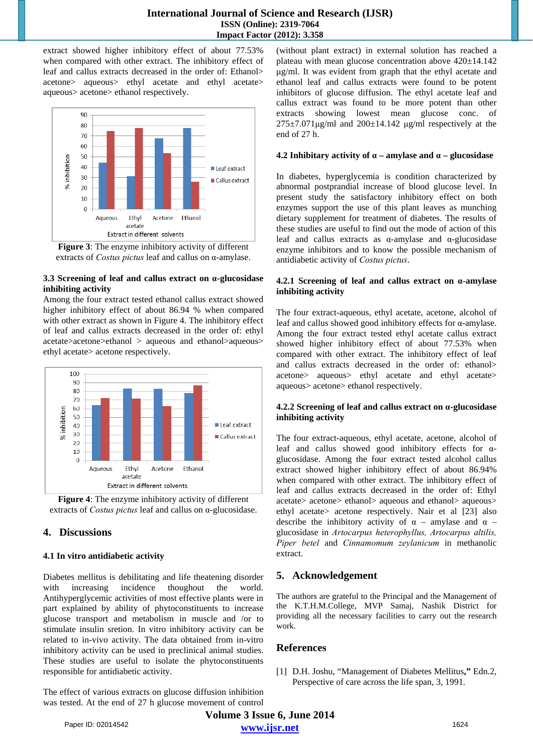extract showed higher inhibitory effect of about 77.53% when compared with other extract. The inhibitory effect of leaf and callus extracts decreased in the order of: Ethanol> acetone> aqueous> ethyl acetate and ethyl acetate> aqueous> acetone> ethanol respectively.



**Figure 3**: The enzyme inhibitory activity of different extracts of *Costus pictus* leaf and callus on α-amylase.

## **3.3 Screening of leaf and callus extract on α-glucosidase inhibiting activity**

Among the four extract tested ethanol callus extract showed higher inhibitory effect of about 86.94 % when compared with other extract as shown in Figure 4. The inhibitory effect of leaf and callus extracts decreased in the order of: ethyl acetate>acetone>ethanol > aqueous and ethanol>aqueous> ethyl acetate> acetone respectively.



**Figure 4**: The enzyme inhibitory activity of different extracts of *Costus pictus* leaf and callus on α-glucosidase.

# **4. Discussions**

## **4.1 In vitro antidiabetic activity**

Diabetes mellitus is debilitating and life theatening disorder with increasing incidence thoughout the world. Antihyperglycemic activities of most effective plants were in part explained by ability of phytoconstituents to increase glucose transport and metabolism in muscle and /or to stimulate insulin sretion. In vitro inhibitory activity can be related to in-vivo activity. The data obtained from in-vitro inhibitory activity can be used in preclinical animal studies. These studies are useful to isolate the phytoconstituents responsible for antidiabetic activity.

The effect of various extracts on glucose diffusion inhibition was tested. At the end of 27 h glucose movement of control (without plant extract) in external solution has reached a plateau with mean glucose concentration above 420±14.142 μg/ml. It was evident from graph that the ethyl acetate and ethanol leaf and callus extracts were found to be potent inhibitors of glucose diffusion. The ethyl acetate leaf and callus extract was found to be more potent than other extracts showing lowest mean glucose conc. of  $275\pm7.071\,\text{\mu g/ml}$  and  $200\pm14.142\,\text{\mu g/ml}$  respectively at the end of 27 h.

## **4.2 Inhibitary activity of**  $\alpha$  **– amylase and**  $\alpha$  **– glucosidase**

In diabetes, hyperglycemia is condition characterized by abnormal postprandial increase of blood glucose level. In present study the satisfactory inhibitory effect on both enzymes support the use of this plant leaves as munching dietary supplement for treatment of diabetes. The results of these studies are useful to find out the mode of action of this leaf and callus extracts as α-amylase and α-glucosidase enzyme inhibitors and to know the possible mechanism of antidiabetic activity of *Costus pictus*.

#### **4.2.1 Screening of leaf and callus extract on α-amylase inhibiting activity**

The four extract-aqueous, ethyl acetate, acetone, alcohol of leaf and callus showed good inhibitory effects for α-amylase. Among the four extract tested ethyl acetate callus extract showed higher inhibitory effect of about 77.53% when compared with other extract. The inhibitory effect of leaf and callus extracts decreased in the order of: ethanol> acetone> aqueous> ethyl acetate and ethyl acetate> aqueous> acetone> ethanol respectively.

## **4.2.2 Screening of leaf and callus extract on α-glucosidase inhibiting activity**

The four extract-aqueous, ethyl acetate, acetone, alcohol of leaf and callus showed good inhibitory effects for αglucosidase. Among the four extract tested alcohol callus extract showed higher inhibitory effect of about 86.94% when compared with other extract. The inhibitory effect of leaf and callus extracts decreased in the order of: Ethyl acetate> acetone> ethanol> aqueous and ethanol> aqueous> ethyl acetate> acetone respectively. Nair et al [23] also describe the inhibitory activity of  $\alpha$  – amylase and  $\alpha$  – glucosidase in *Artocarpus heterophyllus, Artocarpus altilis, Piper betel* and *Cinnamomum zeylanicum* in methanolic extract.

# **5. Acknowledgement**

The authors are grateful to the Principal and the Management of the K.T.H.M.College, MVP Samaj, Nashik District for providing all the necessary facilities to carry out the research work.

# **References**

[1] D.H. Joshu, "Management of Diabetes Mellitus**,"** Edn.2, Perspective of care across the life span, 3, 1991.

**Volume 3 Issue 6, June 2014 www.ijsr.net** Paper ID: 02014542 1624